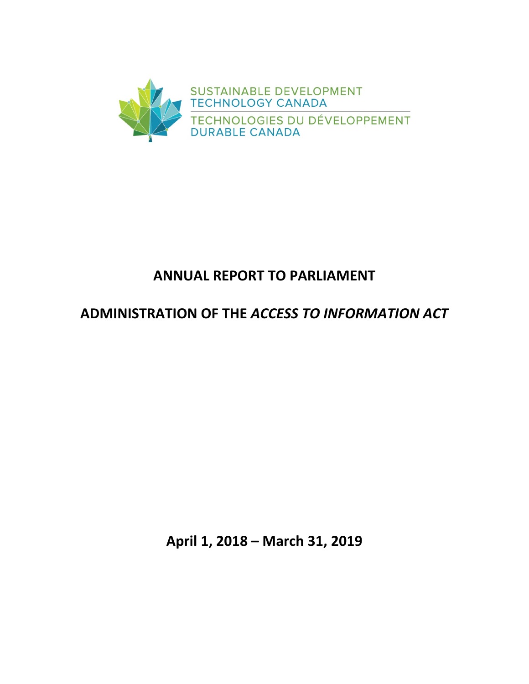

# **ANNUAL REPORT TO PARLIAMENT**

# **ADMINISTRATION OF THE** *ACCESS TO INFORMATION ACT*

**April 1, 2018 – March 31, 2019**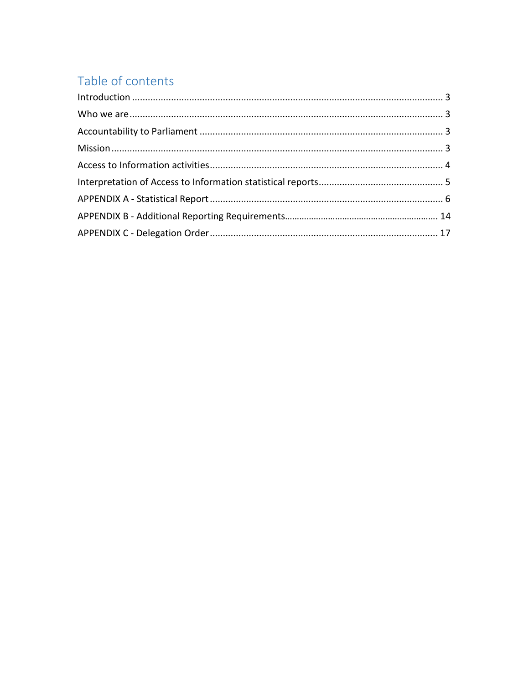# Table of contents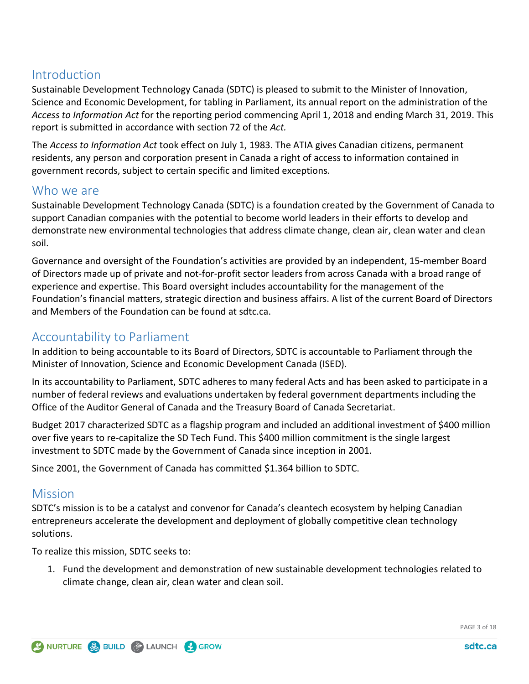# <span id="page-2-0"></span>**Introduction**

Sustainable Development Technology Canada (SDTC) is pleased to submit to the Minister of Innovation, Science and Economic Development, for tabling in Parliament, its annual report on the administration of the *Access to Information Act* for the reporting period commencing April 1, 2018 and ending March 31, 2019. This report is submitted in accordance with section 72 of the *Act.*

The *Access to Information Act* took effect on July 1, 1983. The ATIA gives Canadian citizens, permanent residents, any person and corporation present in Canada a right of access to information contained in government records, subject to certain specific and limited exceptions.

# <span id="page-2-1"></span>Who we are

Sustainable Development Technology Canada (SDTC) is a foundation created by the Government of Canada to support Canadian companies with the potential to become world leaders in their efforts to develop and demonstrate new environmental technologies that address climate change, clean air, clean water and clean soil.

Governance and oversight of the Foundation's activities are provided by an independent, 15-member Board of Directors made up of private and not-for-profit sector leaders from across Canada with a broad range of experience and expertise. This Board oversight includes accountability for the management of the Foundation's financial matters, strategic direction and business affairs. A list of the current Board of Directors and Members of the Foundation can be found [at](https://www.sdtc.ca/en/about-sdtc/team/board-committees) sdtc.ca.

# <span id="page-2-2"></span>Accountability to Parliament

In addition to being accountable to its Board of Directors, SDTC is accountable to Parliament through the Minister of Innovation, Science and Economic Development Canada (ISED).

In its accountability to Parliament, SDTC adheres to many federal Acts and has been asked to participate in a number of federal reviews and evaluations undertaken by federal government departments including the Office of the Auditor General of Canada and the Treasury Board of Canada Secretariat.

Budget 2017 characterized SDTC as a flagship program and included an additional investment of \$400 million over five years to re-capitalize the SD Tech Fund. This \$400 million commitment is the single largest investment to SDTC made by the Government of Canada since inception in 2001.

Since 2001, the Government of Canada has committed \$1.364 billion to SDTC.

# <span id="page-2-3"></span>**Mission**

SDTC's mission is to be a catalyst and convenor for Canada's cleantech ecosystem by helping Canadian entrepreneurs accelerate the development and deployment of globally competitive clean technology solutions.

To realize this mission, SDTC seeks to:

1. Fund the development and demonstration of new sustainable development technologies related to climate change, clean air, clean water and clean soil.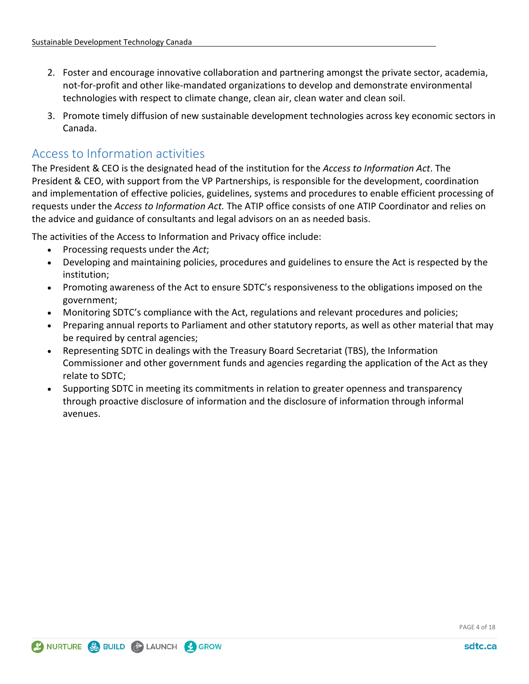- 2. Foster and encourage innovative collaboration and partnering amongst the private sector, academia, not-for-profit and other like-mandated organizations to develop and demonstrate environmental technologies with respect to climate change, clean air, clean water and clean soil.
- 3. Promote timely diffusion of new sustainable development technologies across key economic sectors in Canada.

# <span id="page-3-0"></span>Access to Information activities

The President & CEO is the designated head of the institution for the *Access to Information Act*. The President & CEO, with support from the VP Partnerships, is responsible for the development, coordination and implementation of effective policies, guidelines, systems and procedures to enable efficient processing of requests under the *Access to Information Act.* The ATIP office consists of one ATIP Coordinator and relies on the advice and guidance of consultants and legal advisors on an as needed basis.

The activities of the Access to Information and Privacy office include:

- Processing requests under the *Act*;
- Developing and maintaining policies, procedures and guidelines to ensure the Act is respected by the institution;
- Promoting awareness of the Act to ensure SDTC's responsiveness to the obligations imposed on the government;
- Monitoring SDTC's compliance with the Act, regulations and relevant procedures and policies;
- Preparing annual reports to Parliament and other statutory reports, as well as other material that may be required by central agencies;
- Representing SDTC in dealings with the Treasury Board Secretariat (TBS), the Information Commissioner and other government funds and agencies regarding the application of the Act as they relate to SDTC;
- <span id="page-3-1"></span>• Supporting SDTC in meeting its commitments in relation to greater openness and transparency through proactive disclosure of information and the disclosure of information through informal avenues.

PAGE 4 of 18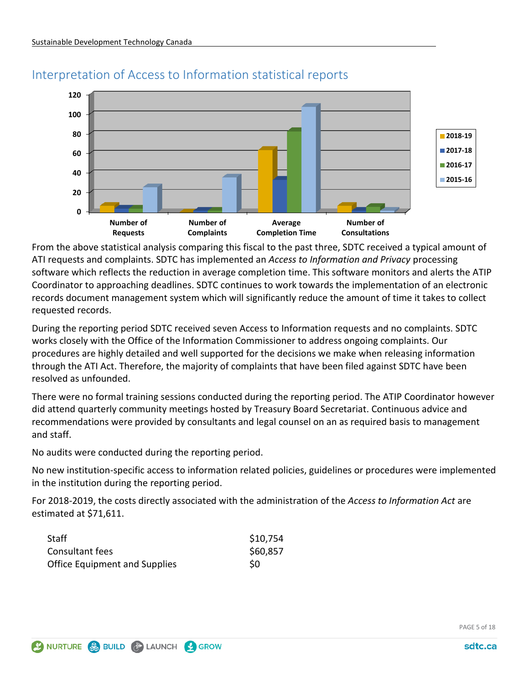

# Interpretation of Access to Information statistical reports

From the above statistical analysis comparing this fiscal to the past three, SDTC received a typical amount of ATI requests and complaints. SDTC has implemented an *Access to Information and Privacy* processing software which reflects the reduction in average completion time. This software monitors and alerts the ATIP Coordinator to approaching deadlines. SDTC continues to work towards the implementation of an electronic records document management system which will significantly reduce the amount of time it takes to collect requested records.

During the reporting period SDTC received seven Access to Information requests and no complaints. SDTC works closely with the Office of the Information Commissioner to address ongoing complaints. Our procedures are highly detailed and well supported for the decisions we make when releasing information through the ATI Act. Therefore, the majority of complaints that have been filed against SDTC have been resolved as unfounded.

There were no formal training sessions conducted during the reporting period. The ATIP Coordinator however did attend quarterly community meetings hosted by Treasury Board Secretariat. Continuous advice and recommendations were provided by consultants and legal counsel on an as required basis to management and staff.

No audits were conducted during the reporting period.

No new institution-specific access to information related policies, guidelines or procedures were implemented in the institution during the reporting period.

For 2018-2019, the costs directly associated with the administration of the *Access to Information Act* are estimated at \$71,611.

| Staff                                | \$10,754 |
|--------------------------------------|----------|
| Consultant fees                      | \$60,857 |
| <b>Office Equipment and Supplies</b> | S0       |

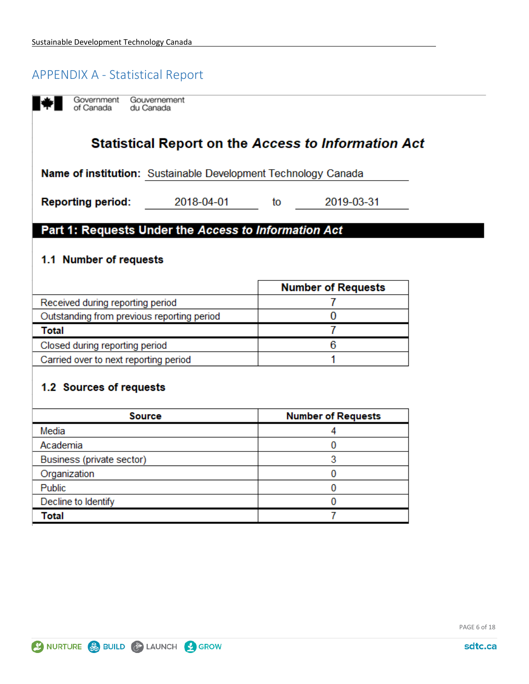# <span id="page-5-0"></span>**APPENDIX A - Statistical Report**

Government Gouvernement of Canada du Canada

# **Statistical Report on the Access to Information Act**

Name of institution: Sustainable Development Technology Canada

2018-04-01

**Reporting period:** 

to

2019-03-31

## Part 1: Requests Under the Access to Information Act

### 1.1 Number of requests

|                                            | <b>Number of Requests</b> |
|--------------------------------------------|---------------------------|
| Received during reporting period           |                           |
| Outstanding from previous reporting period |                           |
| Total                                      |                           |
| Closed during reporting period             |                           |
| Carried over to next reporting period      |                           |

## 1.2 Sources of requests

| <b>Source</b>             | <b>Number of Requests</b> |
|---------------------------|---------------------------|
| Media                     |                           |
| Academia                  |                           |
| Business (private sector) |                           |
| Organization              |                           |
| Public                    |                           |
| Decline to Identify       |                           |
| Total                     |                           |

PAGE 6 of 18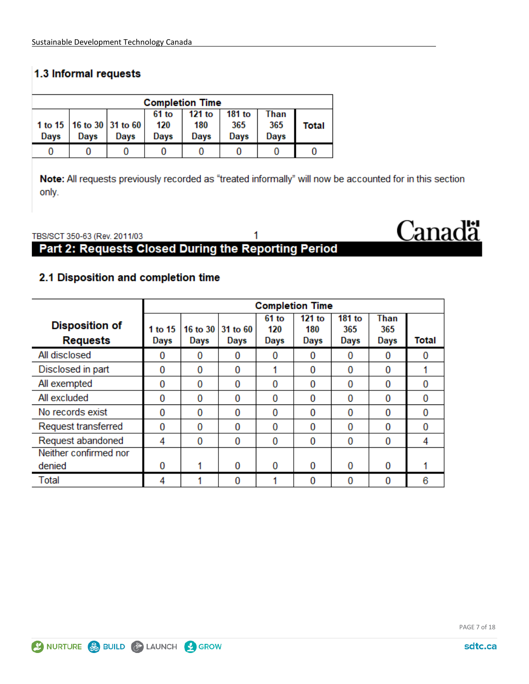# 1.3 Informal requests

| <b>Completion Time</b> |      |                                         |                      |                       |                       |                     |       |  |  |
|------------------------|------|-----------------------------------------|----------------------|-----------------------|-----------------------|---------------------|-------|--|--|
| Days                   | Davs | 1 to 15   16 to 30   31 to 60  <br>Days | 61 to<br>120<br>Days | 121 to<br>180<br>Days | 181 to<br>365<br>Days | Than<br>365<br>Days | Total |  |  |
|                        |      |                                         |                      |                       |                       |                     |       |  |  |

Note: All requests previously recorded as "treated informally" will now be accounted for in this section only.

#### 1 TBS/SCT 350-63 (Rev. 2011/03 Part 2: Requests Closed During the Reporting Period

## 2.1 Disposition and completion time

|                                          | <b>Completion Time</b> |          |                                  |                        |                       |                       |                            |       |
|------------------------------------------|------------------------|----------|----------------------------------|------------------------|-----------------------|-----------------------|----------------------------|-------|
| <b>Disposition of</b><br><b>Requests</b> | 1 to 15<br><b>Days</b> | Days     | 16 to 30 31 to 60<br><b>Days</b> | $61$ to<br>120<br>Days | 121 to<br>180<br>Days | 181 to<br>365<br>Days | Than<br>365<br><b>Days</b> | Total |
| All disclosed                            | 0                      | $\Omega$ | 0                                | 0                      | 0                     | 0                     | $\Omega$                   | 0     |
| Disclosed in part                        | 0                      | 0        | 0                                |                        | $\Omega$              | 0                     | 0                          |       |
| All exempted                             | 0                      | 0        | 0                                | 0                      | $\Omega$              | 0                     | 0                          | 0     |
| All excluded                             | 0                      | 0        | 0                                | 0                      | 0                     | 0                     | 0                          | 0     |
| No records exist                         | 0                      | 0        | 0                                | 0                      | $\Omega$              | 0                     | 0                          | 0     |
| Request transferred                      | 0                      | 0        | 0                                | 0                      | $\Omega$              | 0                     | 0                          | 0     |
| Request abandoned                        | 4                      | 0        | 0                                | 0                      | $\Omega$              | 0                     | 0                          | 4     |
| Neither confirmed nor                    |                        |          |                                  |                        |                       |                       |                            |       |
| denied                                   | 0                      |          | 0                                | 0                      | $\Omega$              | 0                     | 0                          |       |
| Total                                    | 4                      |          | 0                                |                        | $\Omega$              | 0                     | 0                          | 6     |

**Canadä**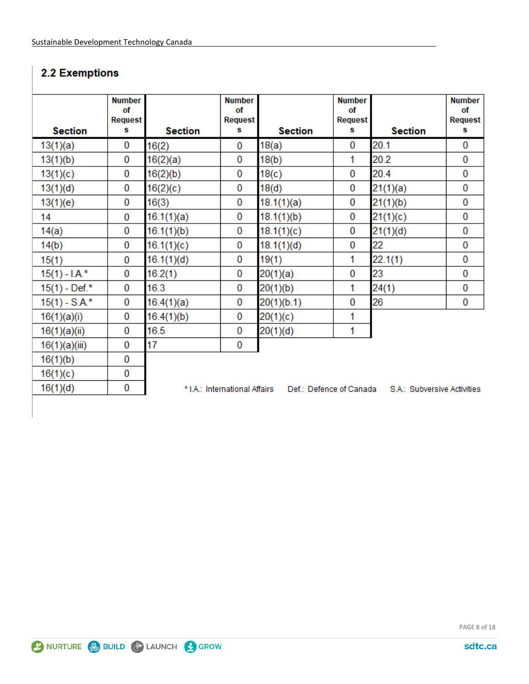# 2.2 Exemptions

|                 | <b>Number</b><br>of<br>Request |                | <b>Number</b><br>οf<br><b>Request</b> |                         | <b>Number</b><br>of<br><b>Request</b> |                             | <b>Number</b><br>of<br>Request |
|-----------------|--------------------------------|----------------|---------------------------------------|-------------------------|---------------------------------------|-----------------------------|--------------------------------|
| <b>Section</b>  | s                              | <b>Section</b> | s                                     | <b>Section</b>          | s                                     | <b>Section</b>              | s                              |
| 13(1)(a)        | 0                              | 16(2)          | 0                                     | 18(a)                   | $\bf{0}$                              | 20.1                        | 0                              |
| 13(1)(b)        | 0                              | 16(2)(a)       | 0                                     | 18(b)                   | 1                                     | 20.2                        | 0                              |
| 13(1)(c)        | 0                              | 16(2)(b)       | 0                                     | 18(c)                   | $\bf{0}$                              | 20.4                        | 0                              |
| 13(1)(d)        | 0                              | 16(2)(c)       | 0                                     | 18(d)                   | 0                                     | 21(1)(a)                    | 0                              |
| 13(1)(e)        | 0                              | 16(3)          | 0                                     | 18.1(1)(a)              | $\bf{0}$                              | 21(1)(b)                    | 0                              |
| 14              | $\bf{0}$                       | 16.1(1)(a)     | 0                                     | 18.1(1)(b)              | $\bf{0}$                              | 21(1)(c)                    | 0                              |
| 14(a)           | 0                              | 16.1(1)(b)     | 0                                     | 18.1(1)(c)              | $\bf{0}$                              | 21(1)(d)                    | 0                              |
| 14(b)           | 0                              | 16.1(1)(c)     | 0                                     | 18.1(1)(d)              | 0                                     | 22                          | 0                              |
| 15(1)           | 0                              | 16.1(1)(d)     | 0                                     | 19(1)                   | 1                                     | 22.1(1)                     | 0                              |
| $15(1) - I.A.*$ | $\bf{0}$                       | 16.2(1)        | 0                                     | 20(1)(a)                | $\bf{0}$                              | 23                          | 0                              |
| $15(1)$ - Def.* | 0                              | 16.3           | 0                                     | 20(1)(b)                | 1                                     | 24(1)                       | 0                              |
| $15(1) - S.A.*$ | 0                              | 16.4(1)(a)     | 0                                     | 20(1)(b.1)              | 0                                     | 26                          | 0                              |
| 16(1)(a)(i)     | 0                              | 16.4(1)(b)     | 0                                     | 20(1)(c)                | 1                                     |                             |                                |
| 16(1)(a)(ii)    | 0                              | 16.5           | 0                                     | 20(1)(d)                | 1                                     |                             |                                |
| 16(1)(a)(iii)   | 0                              | 17             | 0                                     |                         |                                       |                             |                                |
| 16(1)(b)        | 0                              |                |                                       |                         |                                       |                             |                                |
| 16(1)(c)        | 0                              |                |                                       |                         |                                       |                             |                                |
| 16(1)(d)        | 0                              |                | * I.A.: International Affairs         | Def.: Defence of Canada |                                       | S.A.: Subversive Activities |                                |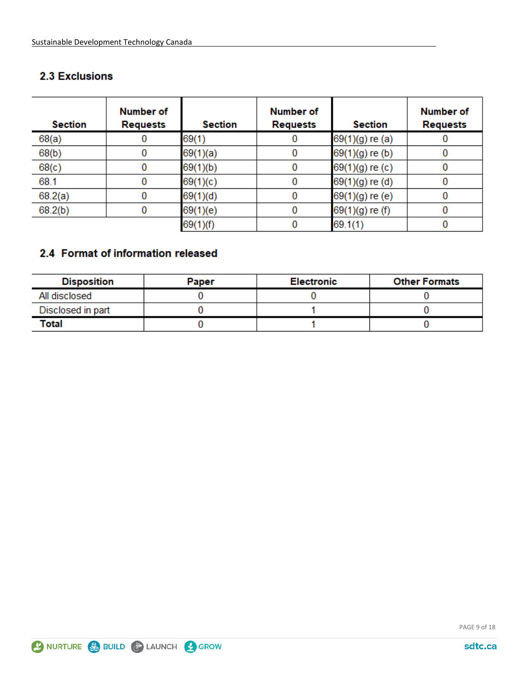## **2.3 Exclusions**

| <b>Section</b> | <b>Number of</b><br><b>Requests</b> | <b>Section</b> | <b>Number of</b><br><b>Requests</b> | <b>Section</b>  | <b>Number of</b><br><b>Requests</b> |
|----------------|-------------------------------------|----------------|-------------------------------------|-----------------|-------------------------------------|
| 68(a)          | 0                                   | 69(1)          |                                     | 69(1)(g) re (a) |                                     |
| 68(b)          | 0                                   | 69(1)(a)       | 0                                   | 69(1)(g) re (b) |                                     |
| 68(c)          | 0                                   | 69(1)(b)       | 0                                   | 69(1)(g) re (c) |                                     |
| 68.1           | 0                                   | 69(1)(c)       | 0                                   | 69(1)(g) re (d) |                                     |
| 68.2(a)        | 0                                   | 69(1)(d)       | 0                                   | 69(1)(g) re (e) |                                     |
| 68.2(b)        | 0                                   | 69(1)(e)       | 0                                   | 69(1)(g) re (f) |                                     |
|                |                                     | 69(1)(f)       |                                     | 69.1(1)         |                                     |

# 2.4 Format of information released

| <b>Disposition</b> | Paper | <b>Electronic</b> | <b>Other Formats</b> |
|--------------------|-------|-------------------|----------------------|
| All disclosed      |       |                   |                      |
| Disclosed in part  |       |                   |                      |
| Total              |       |                   |                      |

PAGE 9 of 18

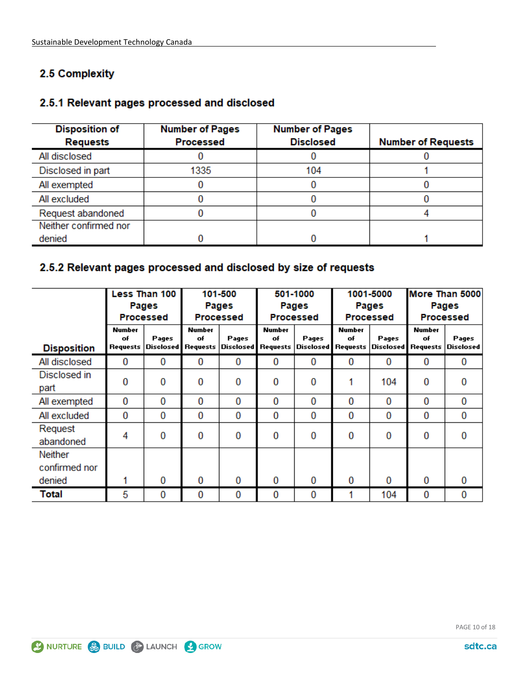# 2.5 Complexity

### 2.5.1 Relevant pages processed and disclosed

| <b>Disposition of</b><br><b>Requests</b> | <b>Number of Pages</b><br><b>Processed</b> | <b>Number of Pages</b><br><b>Disclosed</b> | <b>Number of Requests</b> |
|------------------------------------------|--------------------------------------------|--------------------------------------------|---------------------------|
| All disclosed                            |                                            |                                            |                           |
| Disclosed in part                        | 1335                                       | 104                                        |                           |
| All exempted                             |                                            |                                            |                           |
| All excluded                             |                                            |                                            |                           |
| Request abandoned                        |                                            |                                            |                           |
| Neither confirmed nor                    |                                            |                                            |                           |
| denied                                   |                                            |                                            |                           |

## 2.5.2 Relevant pages processed and disclosed by size of requests

|                                           |                                 | Less Than 100<br>Pages<br><b>Processed</b> |                                 | 101-500<br>501-1000<br>Pages<br>Pages<br><b>Processed</b><br>Processed |                                        | 1001-5000<br>Pages<br><b>Processed</b> |                     | More Than 5000<br>Pages<br><b>Processed</b> |                                 |                           |
|-------------------------------------------|---------------------------------|--------------------------------------------|---------------------------------|------------------------------------------------------------------------|----------------------------------------|----------------------------------------|---------------------|---------------------------------------------|---------------------------------|---------------------------|
| <b>Disposition</b>                        | <b>Number</b><br>of<br>Requests | Pages<br>Disclosed                         | <b>Number</b><br>of<br>Requests | Pages<br><b>Disclosed</b>                                              | <b>Number</b><br>of<br><b>Requests</b> | Pages<br>Disclosed Requests Disclosed  | <b>Number</b><br>of | Pages                                       | <b>Number</b><br>of<br>Requests | Pages<br><b>Disclosed</b> |
| All disclosed                             | 0                               | 0                                          | 0                               | 0                                                                      | 0                                      | 0                                      | $\Omega$            | 0                                           | 0                               | 0                         |
| Disclosed in<br>part                      | 0                               | 0                                          | 0                               | 0                                                                      | 0                                      | 0                                      |                     | 104                                         | 0                               | $\bf{0}$                  |
| All exempted                              | $\bf{0}$                        | $\bf{0}$                                   | 0                               | 0                                                                      | 0                                      | 0                                      | $\bf{0}$            | 0                                           | 0                               | 0                         |
| All excluded                              | 0                               | $\bf{0}$                                   | 0                               | 0                                                                      | 0                                      | 0                                      | 0                   | 0                                           | 0                               | 0                         |
| Request<br>abandoned                      | 4                               | 0                                          | 0                               | 0                                                                      | 0                                      | 0                                      | 0                   | 0                                           | 0                               | 0                         |
| <b>Neither</b><br>confirmed nor<br>denied |                                 | 0                                          | 0                               | 0                                                                      | 0                                      | 0                                      | $\Omega$            | 0                                           | 0                               | $\bf{0}$                  |
| Total                                     | 5                               | 0                                          | 0                               | 0                                                                      | 0                                      | 0                                      |                     | 104                                         | 0                               | 0                         |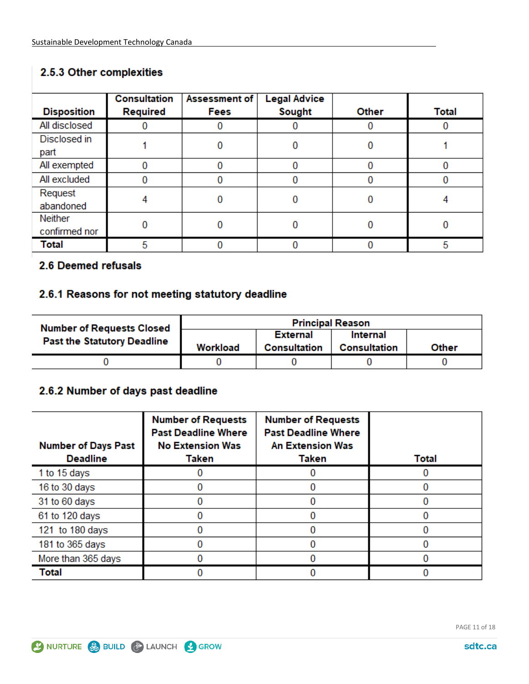# 2.5.3 Other complexities

| <b>Disposition</b>              | <b>Consultation</b><br>Required | Assessment of<br>Fees | <b>Legal Advice</b><br>Sought | Other | <b>Total</b> |
|---------------------------------|---------------------------------|-----------------------|-------------------------------|-------|--------------|
| All disclosed                   |                                 |                       |                               | 0     |              |
| Disclosed in<br>part            |                                 |                       |                               | 0     |              |
| All exempted                    | 0                               |                       | 0                             | 0     | O            |
| All excluded                    |                                 |                       | o                             | 0     |              |
| Request<br>abandoned            |                                 |                       |                               | 0     |              |
| <b>Neither</b><br>confirmed nor |                                 |                       |                               | 0     |              |
| Total                           | 5                               |                       |                               | 0     | 5            |

### 2.6 Deemed refusals

### 2.6.1 Reasons for not meeting statutory deadline

| <b>Number of Requests Closed</b>   |          | <b>Principal Reason</b>                |                          |       |
|------------------------------------|----------|----------------------------------------|--------------------------|-------|
| <b>Past the Statutory Deadline</b> | Workload | <b>External</b><br><b>Consultation</b> | Internal<br>Consultation | Other |
|                                    |          |                                        |                          |       |

## 2.6.2 Number of days past deadline

| <b>Number of Days Past</b><br><b>Deadline</b> | <b>Number of Requests</b><br><b>Past Deadline Where</b><br><b>No Extension Was</b><br>Taken | <b>Number of Requests</b><br><b>Past Deadline Where</b><br><b>An Extension Was</b><br><b>Taken</b> | <b>Total</b> |
|-----------------------------------------------|---------------------------------------------------------------------------------------------|----------------------------------------------------------------------------------------------------|--------------|
| 1 to 15 days                                  |                                                                                             |                                                                                                    |              |
| 16 to 30 days                                 |                                                                                             |                                                                                                    |              |
| 31 to 60 days                                 |                                                                                             |                                                                                                    |              |
| 61 to 120 days                                |                                                                                             |                                                                                                    |              |
| 121 to 180 days                               |                                                                                             |                                                                                                    |              |
| 181 to 365 days                               |                                                                                             |                                                                                                    |              |
| More than 365 days                            |                                                                                             |                                                                                                    |              |
| Total                                         |                                                                                             |                                                                                                    |              |

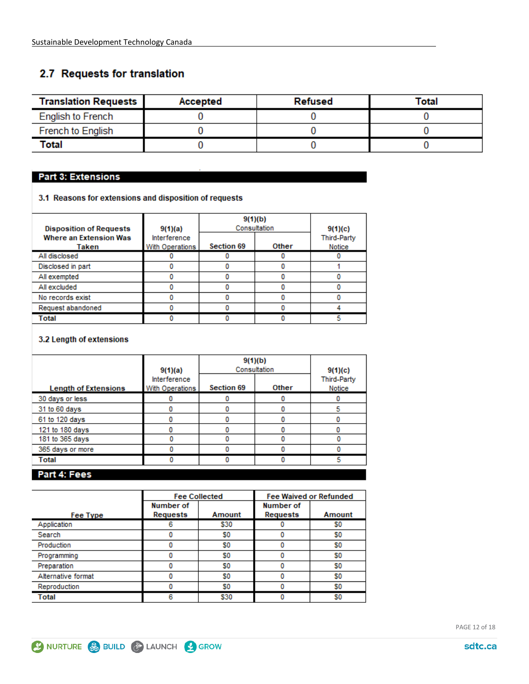# 2.7 Requests for translation

| <b>Translation Requests</b> | Accepted | Refused | Total |
|-----------------------------|----------|---------|-------|
| English to French           |          |         |       |
| <b>French to English</b>    |          |         |       |
| Total                       |          |         |       |

#### **Part 3: Extensions**

3.1 Reasons for extensions and disposition of requests

| <b>Disposition of Requests</b>         | 9(1)(a)                         | 9(1)(b)           | Consultation | 9(1)(c)                      |
|----------------------------------------|---------------------------------|-------------------|--------------|------------------------------|
| <b>Where an Extension Was</b><br>Taken | Interference<br>With Operations | <b>Section 69</b> | <b>Other</b> | <b>Third-Party</b><br>Notice |
| All disclosed                          |                                 |                   |              |                              |
| Disclosed in part                      |                                 |                   |              |                              |
| All exempted                           |                                 |                   |              |                              |
| All excluded                           |                                 |                   |              |                              |
| No records exist                       |                                 |                   |              |                              |
| Request abandoned                      |                                 |                   |              |                              |
| Total                                  |                                 |                   |              | 5                            |

#### 3.2 Length of extensions

|                             | 9(1)(a)<br>Interference | 9(1)(b)<br>Consultation | 9(1)(c)<br><b>Third-Party</b> |        |
|-----------------------------|-------------------------|-------------------------|-------------------------------|--------|
| <b>Length of Extensions</b> | With Operations         | <b>Section 69</b>       | <b>Other</b>                  | Notice |
| 30 days or less             |                         |                         |                               |        |
| 31 to 60 days               |                         |                         |                               |        |
| 61 to 120 days              |                         |                         |                               |        |
| 121 to 180 days             |                         |                         |                               |        |
| 181 to 365 days             |                         |                         |                               |        |
| 365 days or more            |                         |                         |                               |        |
| Total                       |                         |                         |                               | 5      |
| Part 4: Fees                |                         |                         |                               |        |

|                    |           | <b>Fee Collected</b> | <b>Fee Waived or Refunded</b> |               |  |
|--------------------|-----------|----------------------|-------------------------------|---------------|--|
|                    | Number of |                      | Number of                     |               |  |
| Fee Type           | Requests  | Amount               | Requests                      | <b>Amount</b> |  |
| Application        |           | \$30                 |                               | S0            |  |
| Search             |           | S0                   |                               | S0            |  |
| Production         |           | S0                   |                               | S0            |  |
| Programming        |           | S0                   |                               | S0            |  |
| Preparation        |           | S0                   |                               | S0            |  |
| Alternative format |           | S0                   |                               | S0            |  |
| Reproduction       |           | S0                   |                               | S0            |  |
| Total              |           | \$30                 |                               | S0            |  |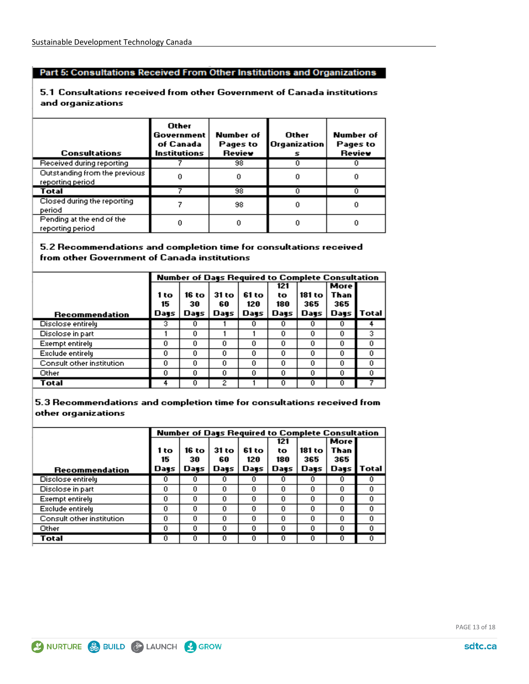#### Part 5: Consultations Received From Other Institutions and Organizations

#### 5.1 Consultations received from other Government of Canada institutions and organizations

| <b>Consultations</b>                              | Other<br>Government<br>of Canada<br><b>Institutions</b> | Number of<br>Pages to<br>Review | Other<br>Organization<br>s | <b>Number of</b><br>Pages to<br>Review |
|---------------------------------------------------|---------------------------------------------------------|---------------------------------|----------------------------|----------------------------------------|
| Received during reporting                         |                                                         | 98                              |                            |                                        |
| Outstanding from the previous<br>reporting period |                                                         |                                 |                            |                                        |
| Total                                             |                                                         | 98                              |                            |                                        |
| Closed during the reporting<br>period             |                                                         | 98                              | 0                          |                                        |
| Pending at the end of the<br>reporting period     |                                                         |                                 |                            |                                        |

#### 5.2 Recommendations and completion time for consultations received from other Government of Canada institutions

|                           |      | Number of Days Required to Complete Consultation |       |       |      |        |      |       |
|---------------------------|------|--------------------------------------------------|-------|-------|------|--------|------|-------|
|                           |      |                                                  |       |       | 121  |        | More |       |
|                           | 1 to | 16 to                                            | 31 to | 61 to | to   | 181 to | Than |       |
|                           | 15   | 30                                               | 60    | 120   | 180  | 365    | 365  |       |
| Recommendation            | Days | Days                                             | Days  | Days  | Days | Days   | Days | Total |
| Disclose entirely         | з    | 0                                                |       | Ū     |      |        | 0    |       |
| Disclose in part          |      | 0                                                |       |       | 0    | 0      | 0    | 3.    |
| <b>Exempt entirely</b>    | 0    | 0                                                | 0     | 0     | 0    | 0      | 0    | 0     |
| Exclude entirely          | 0    | 0                                                | 0     | 0     | 0    | 0      | 0    | 0     |
| Consult other institution | 0    | 0                                                | 0     | 0     | 0    | 0      | 0    | 0     |
| Other                     | 0    | 0                                                | 0     | 0     | 0    | 0      | 0    | 0     |
| Total                     | 4    | 0                                                | 2     |       | o    | o      | 0    |       |

5.3 Recommendations and completion time for consultations received from other organizations

|                           |      | Number of Days Required to Complete Consultation |       |       |      |        |             |       |
|---------------------------|------|--------------------------------------------------|-------|-------|------|--------|-------------|-------|
|                           |      |                                                  |       |       | 121  |        | <b>More</b> |       |
|                           | 1 to | 16 to                                            | 31 to | 61 to | to   | 181 to | Than        |       |
|                           | 15   | 30                                               | 60    | 120   | 180  | 365    | 365         |       |
| Recommendation            | Days | Days                                             | Days  | Days  | Days | Days   | Days        | Total |
| Disclose entirely         | o    | 0                                                | 0     | 0     | o    |        | 0           |       |
| Disclose in part          | 0    | 0                                                | 0     | 0     | 0    | 0      | 0.          | 0     |
| <b>Exempt entirely</b>    | 0    | 0                                                | 0     | 0     | 0    | 0      | 0.          | 0     |
| Exclude entirely          | 0    | 0                                                | 0     | 0     | 0    | 0      | 0.          | 0     |
| Consult other institution | 0    | 0                                                | 0     | 0     | 0    | 0      | 0.          | n     |
| Other                     | 0.   | 0                                                | 0     | 0     | 0    | o      | 0.          | n     |
| Total                     | 0    | Ū                                                | 0     | 0     | n    |        |             |       |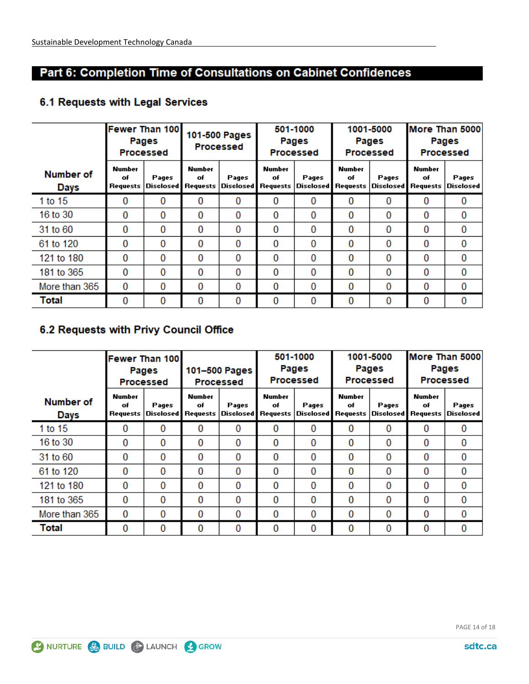# Part 6: Completion Time of Consultations on Cabinet Confidences

# 6.1 Requests with Legal Services

|                          |                                 | <b>Fewer Than 100</b><br>Pages<br><b>Processed</b> |                                        | 501-1000<br>101-500 Pages<br>Pages<br><b>Processed</b><br><b>Processed</b> |                                 |                                    |                     | 1001-5000<br>Pages<br>Processed | More Than 5000<br>Pages<br><b>Processed</b> |                    |
|--------------------------|---------------------------------|----------------------------------------------------|----------------------------------------|----------------------------------------------------------------------------|---------------------------------|------------------------------------|---------------------|---------------------------------|---------------------------------------------|--------------------|
| <b>Number of</b><br>Days | <b>Number</b><br>of<br>Requests | Pages<br><b>Disclosed</b>                          | <b>Number</b><br>of<br><b>Requests</b> | Pages<br><b>Disclosed</b>                                                  | <b>Number</b><br>of<br>Requests | Pages<br><b>Disclosed Requests</b> | <b>Number</b><br>of | Pages<br><b>Disclosed</b>       | <b>Number</b><br>of<br>Requests             | Pages<br>Disclosed |
| 1 to 15                  | 0                               | 0                                                  | 0                                      | 0                                                                          | $\bf{0}$                        | 0                                  | 0                   | 0                               | $\Omega$                                    | 0                  |
| 16 to 30                 | 0                               | 0                                                  | 0                                      | 0                                                                          | 0                               | 0                                  | $\Omega$            | 0                               | 0                                           | 0                  |
| 31 to 60                 | 0                               | $\bf{0}$                                           | 0                                      | 0                                                                          | 0                               | 0                                  | 0                   | 0                               | $\bf{0}$                                    | 0                  |
| 61 to 120                | 0                               | 0                                                  | 0                                      | 0                                                                          | 0                               | 0                                  | $\Omega$            | 0                               | 0                                           | 0                  |
| 121 to 180               | 0                               | $\Omega$                                           | 0                                      | $\bf{0}$                                                                   | $\bf{0}$                        | $\mathbf{0}$                       | $\Omega$            | 0                               | $\Omega$                                    | $\bf{0}$           |
| 181 to 365               | 0                               | $\Omega$                                           | 0                                      | 0                                                                          | 0                               | 0                                  | 0                   | 0                               | 0                                           | $\bf{0}$           |
| More than 365            | 0                               | $\Omega$                                           | 0                                      | 0                                                                          | $\bf{0}$                        | 0                                  | 0                   | 0                               | $\Omega$                                    | 0                  |
| Total                    | 0                               | 0                                                  | 0                                      | 0                                                                          | $\bf{0}$                        | $\bf{0}$                           | 0                   | 0                               | 0                                           | 0                  |

# 6.2 Requests with Privy Council Office

|                          |                                 | <b>Fewer Than 100</b><br>Pages<br>Processed |                                        | 101-500 Pages<br><b>Processed</b> | 501-1000<br>Pages<br>Processed |          | 1001-5000<br>Pages<br><b>Processed</b>              |       | More Than 5000<br>Pages<br><b>Processed</b> |                           |
|--------------------------|---------------------------------|---------------------------------------------|----------------------------------------|-----------------------------------|--------------------------------|----------|-----------------------------------------------------|-------|---------------------------------------------|---------------------------|
| <b>Number of</b><br>Days | <b>Number</b><br>of<br>Requests | Pages<br> Disclosed                         | <b>Number</b><br>of<br><b>Requests</b> | Pages<br>Disclosed   Requests     | <b>Number</b><br>of            | Pages    | <b>Number</b><br>of<br>Disclosed Requests Disclosed | Pages | <b>Number</b><br>of<br>Requests             | Pages<br><b>Disclosed</b> |
| 1 to 15                  | 0                               | 0                                           | 0                                      | 0                                 | 0                              | 0        | 0                                                   | 0     | $\Omega$                                    | 0                         |
| 16 to 30                 | 0                               | 0                                           | 0                                      | 0                                 | 0                              | 0        | $\Omega$                                            | 0     | $\Omega$                                    | 0                         |
| 31 to 60                 | 0                               | 0                                           | 0                                      | 0                                 | 0                              | 0        | $\Omega$                                            | 0     | 0                                           | 0                         |
| 61 to 120                | 0                               | 0                                           | 0                                      | 0                                 | 0                              | 0        | $\Omega$                                            | 0     | 0                                           | 0                         |
| 121 to 180               | $\Omega$                        | 0                                           | 0                                      | 0                                 | 0                              | $\Omega$ | 0                                                   | 0     | $\Omega$                                    | 0                         |
| 181 to 365               | 0                               | 0                                           | 0                                      | 0                                 | 0                              | 0        | 0                                                   | 0     | $\Omega$                                    | 0                         |
| More than 365            | 0                               | 0                                           | 0                                      | 0                                 | 0                              | 0        | $\Omega$                                            | 0     | 0                                           | 0                         |
| Total                    | 0                               | 0                                           | 0                                      | 0                                 | 0                              | 0        | $\Omega$                                            | 0     | 0                                           | 0                         |

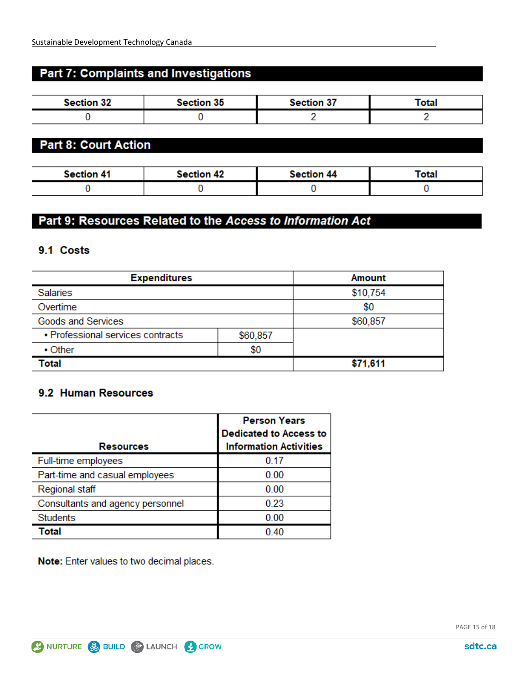# **Part 7: Complaints and Investigations**

| <b>Section 32</b> | <b>Section 35</b> | <b>Section 37</b> | <b>Total</b> |
|-------------------|-------------------|-------------------|--------------|
|                   |                   |                   |              |

## **Part 8: Court Action**

| <b>Section 41</b> | <b>Section 42</b> | <b>Section 44</b> | Total |
|-------------------|-------------------|-------------------|-------|
|                   |                   |                   |       |

# Part 9: Resources Related to the Access to Information Act

### 9.1 Costs

| <b>Expenditures</b>                           |     | <b>Amount</b> |  |
|-----------------------------------------------|-----|---------------|--|
| <b>Salaries</b>                               |     | \$10,754      |  |
| Overtime                                      |     | \$0           |  |
| Goods and Services                            |     | \$60,857      |  |
| • Professional services contracts<br>\$60,857 |     |               |  |
| $\cdot$ Other                                 | \$0 |               |  |
| Total                                         |     | \$71,611      |  |

### 9.2 Human Resources

|                                  | <b>Person Years</b><br><b>Dedicated to Access to</b> |  |
|----------------------------------|------------------------------------------------------|--|
| <b>Resources</b>                 | <b>Information Activities</b>                        |  |
| Full-time employees              | 0.17                                                 |  |
| Part-time and casual employees   | 0.00                                                 |  |
| <b>Regional staff</b>            | 0.00                                                 |  |
| Consultants and agency personnel | 0.23                                                 |  |
| <b>Students</b>                  | 0.00                                                 |  |
| Total                            | 0.40                                                 |  |

Note: Enter values to two decimal places.

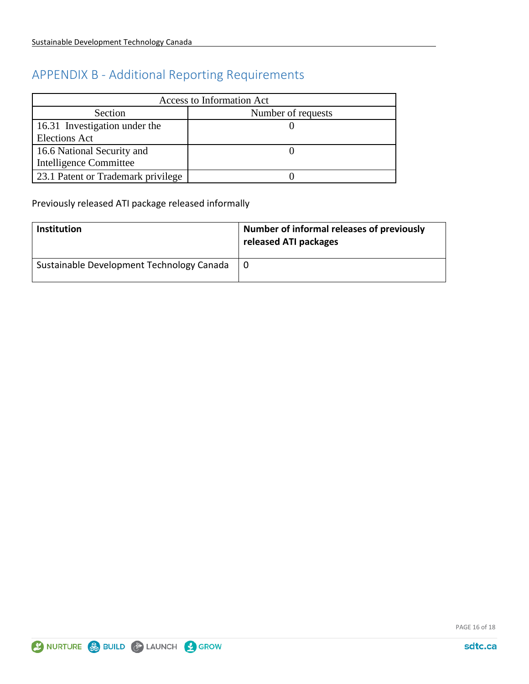# APPENDIX B - Additional Reporting Requirements

| Access to Information Act          |                    |  |  |
|------------------------------------|--------------------|--|--|
| Section                            | Number of requests |  |  |
| 16.31 Investigation under the      |                    |  |  |
| <b>Elections Act</b>               |                    |  |  |
| 16.6 National Security and         |                    |  |  |
| Intelligence Committee             |                    |  |  |
| 23.1 Patent or Trademark privilege |                    |  |  |

Previously released ATI package released informally

| <b>Institution</b>                        | Number of informal releases of previously<br>released ATI packages |
|-------------------------------------------|--------------------------------------------------------------------|
| Sustainable Development Technology Canada |                                                                    |



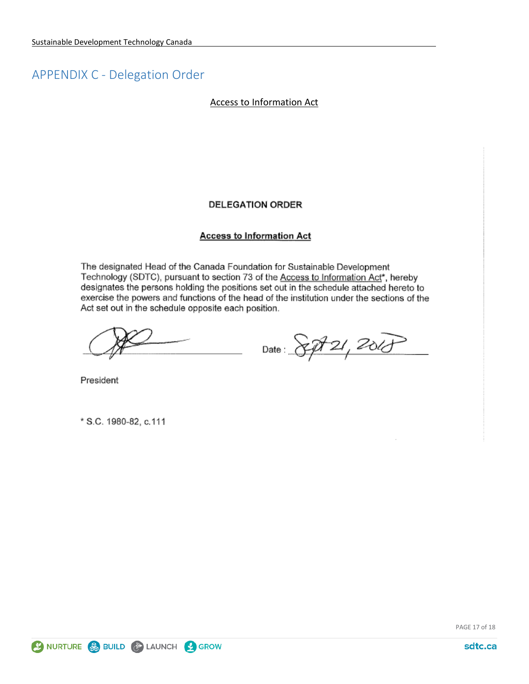# <span id="page-16-0"></span>APPENDIX C - Delegation Order

#### Access to Information Act

#### **DELEGATION ORDER**

#### **Access to Information Act**

The designated Head of the Canada Foundation for Sustainable Development Technology (SDTC), pursuant to section 73 of the Access to Information Act\*, hereby designates the persons holding the positions set out in the schedule attached hereto to exercise the powers and functions of the head of the institution under the sections of the Act set out in the schedule opposite each position.

Date: 8pt 21, 2018

President

\* S.C. 1980-82, c.111

PAGE 17 of 18